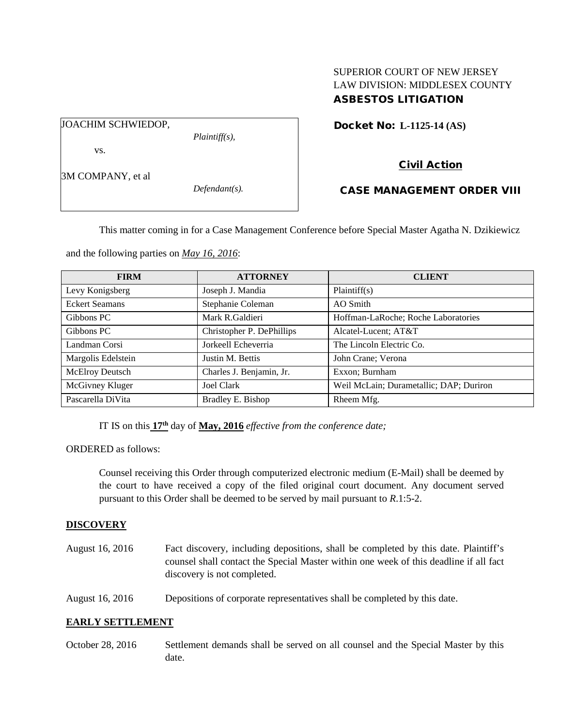# SUPERIOR COURT OF NEW JERSEY LAW DIVISION: MIDDLESEX COUNTY ASBESTOS LITIGATION

JOACHIM SCHWIEDOP,

*Plaintiff(s),*

Docket No: **L-1125-14 (AS)** 

3M COMPANY, et al

vs.

*Defendant(s).*

CASE MANAGEMENT ORDER VIII

Civil Action

This matter coming in for a Case Management Conference before Special Master Agatha N. Dzikiewicz

and the following parties on *May 16, 2016*:

| <b>FIRM</b>           | <b>ATTORNEY</b>           | <b>CLIENT</b>                           |  |
|-----------------------|---------------------------|-----------------------------------------|--|
| Levy Konigsberg       | Joseph J. Mandia          | Plaintiff(s)                            |  |
| <b>Eckert Seamans</b> | Stephanie Coleman         | AO Smith                                |  |
| Gibbons PC            | Mark R.Galdieri           | Hoffman-LaRoche; Roche Laboratories     |  |
| Gibbons PC            | Christopher P. DePhillips | Alcatel-Lucent; AT&T                    |  |
| Landman Corsi         | Jorkeell Echeverria       | The Lincoln Electric Co.                |  |
| Margolis Edelstein    | Justin M. Bettis          | John Crane; Verona                      |  |
| McElroy Deutsch       | Charles J. Benjamin, Jr.  | Exxon; Burnham                          |  |
| McGivney Kluger       | Joel Clark                | Weil McLain; Durametallic; DAP; Duriron |  |
| Pascarella DiVita     | Bradley E. Bishop         | Rheem Mfg.                              |  |

IT IS on this **17th** day of **May, 2016** *effective from the conference date;*

ORDERED as follows:

Counsel receiving this Order through computerized electronic medium (E-Mail) shall be deemed by the court to have received a copy of the filed original court document. Any document served pursuant to this Order shall be deemed to be served by mail pursuant to *R*.1:5-2.

## **DISCOVERY**

- August 16, 2016 Fact discovery, including depositions, shall be completed by this date. Plaintiff's counsel shall contact the Special Master within one week of this deadline if all fact discovery is not completed.
- August 16, 2016 Depositions of corporate representatives shall be completed by this date.

# **EARLY SETTLEMENT**

October 28, 2016 Settlement demands shall be served on all counsel and the Special Master by this date.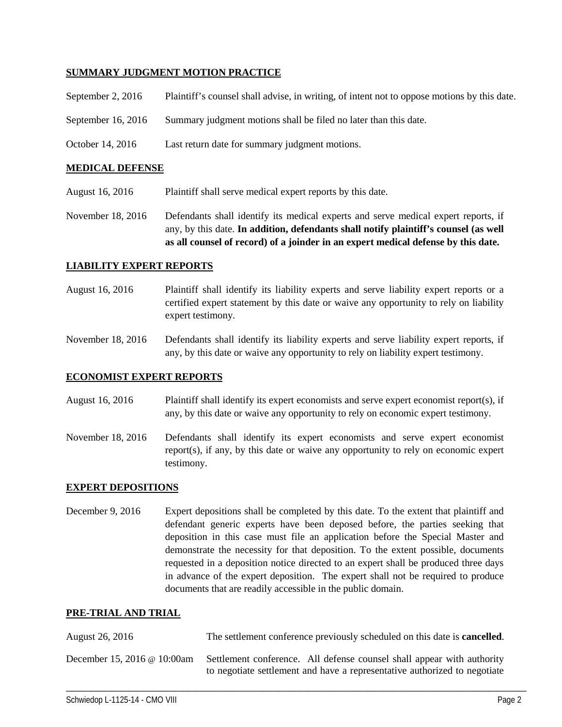## **SUMMARY JUDGMENT MOTION PRACTICE**

| September 2, 2016 | Plaintiff's counsel shall advise, in writing, of intent not to oppose motions by this date. |  |  |
|-------------------|---------------------------------------------------------------------------------------------|--|--|
|                   |                                                                                             |  |  |
|                   |                                                                                             |  |  |
|                   |                                                                                             |  |  |

- September 16, 2016 Summary judgment motions shall be filed no later than this date.
- October 14, 2016 Last return date for summary judgment motions.

#### **MEDICAL DEFENSE**

August 16, 2016 Plaintiff shall serve medical expert reports by this date.

November 18, 2016 Defendants shall identify its medical experts and serve medical expert reports, if any, by this date. **In addition, defendants shall notify plaintiff's counsel (as well as all counsel of record) of a joinder in an expert medical defense by this date.**

### **LIABILITY EXPERT REPORTS**

August 16, 2016 Plaintiff shall identify its liability experts and serve liability expert reports or a certified expert statement by this date or waive any opportunity to rely on liability expert testimony.

November 18, 2016 Defendants shall identify its liability experts and serve liability expert reports, if any, by this date or waive any opportunity to rely on liability expert testimony.

### **ECONOMIST EXPERT REPORTS**

August 16, 2016 Plaintiff shall identify its expert economists and serve expert economist report(s), if any, by this date or waive any opportunity to rely on economic expert testimony.

November 18, 2016 Defendants shall identify its expert economists and serve expert economist report(s), if any, by this date or waive any opportunity to rely on economic expert testimony.

## **EXPERT DEPOSITIONS**

December 9, 2016 Expert depositions shall be completed by this date. To the extent that plaintiff and defendant generic experts have been deposed before, the parties seeking that deposition in this case must file an application before the Special Master and demonstrate the necessity for that deposition. To the extent possible, documents requested in a deposition notice directed to an expert shall be produced three days in advance of the expert deposition. The expert shall not be required to produce documents that are readily accessible in the public domain.

#### **PRE-TRIAL AND TRIAL**

| August 26, 2016             | The settlement conference previously scheduled on this date is <b>cancelled</b> .                                                                   |
|-----------------------------|-----------------------------------------------------------------------------------------------------------------------------------------------------|
| December 15, 2016 @ 10:00am | Settlement conference. All defense counsel shall appear with authority<br>to negotiate settlement and have a representative authorized to negotiate |

\_\_\_\_\_\_\_\_\_\_\_\_\_\_\_\_\_\_\_\_\_\_\_\_\_\_\_\_\_\_\_\_\_\_\_\_\_\_\_\_\_\_\_\_\_\_\_\_\_\_\_\_\_\_\_\_\_\_\_\_\_\_\_\_\_\_\_\_\_\_\_\_\_\_\_\_\_\_\_\_\_\_\_\_\_\_\_\_\_\_\_\_\_\_\_\_\_\_\_\_\_\_\_\_\_\_\_\_\_\_